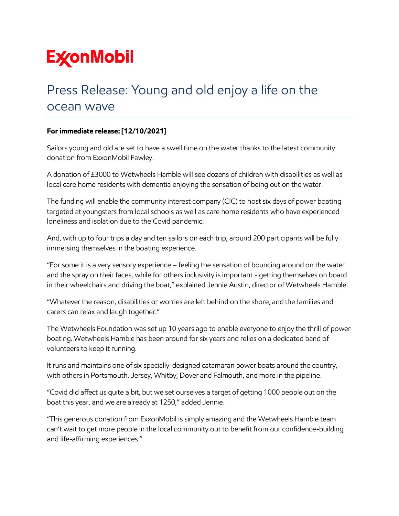## **ExconMobil**

## Press Release: Young and old enjoy a life on the ocean wave

## **For immediate release: [12/10/2021]**

Sailors young and old are set to have a swell time on the water thanks to the latest community donation from ExxonMobil Fawley.

A donation of £3000 to Wetwheels Hamble will see dozens of children with disabilities as well as local care home residents with dementia enjoying the sensation of being out on the water.

The funding will enable the community interest company (CIC) to host six days of power boating targeted at youngsters from local schools as well as care home residents who have experienced loneliness and isolation due to the Covid pandemic.

And, with up to four trips a day and ten sailors on each trip, around 200 participants will be fully immersing themselves in the boating experience.

"For some it is a very sensory experience – feeling the sensation of bouncing around on the water and the spray on their faces, while for others inclusivity is important - getting themselves on board in their wheelchairs and driving the boat," explained Jennie Austin, director of Wetwheels Hamble.

"Whatever the reason, disabilities or worries are left behind on the shore, and the families and carers can relax and laugh together."

The Wetwheels Foundation was set up 10 years ago to enable everyone to enjoy the thrill of power boating. Wetwheels Hamble has been around for six years and relies on a dedicated band of volunteers to keep it running.

It runs and maintains one of six specially-designed catamaran power boats around the country, with others in Portsmouth, Jersey, Whitby, Dover and Falmouth, and more in the pipeline.

"Covid did affect us quite a bit, but we set ourselves a target of getting 1000 people out on the boat this year, and we are already at 1250," added Jennie.

"This generous donation from ExxonMobil is simply amazing and the Wetwheels Hamble team can't wait to get more people in the local community out to benefit from our confidence-building and life-affirming experiences."